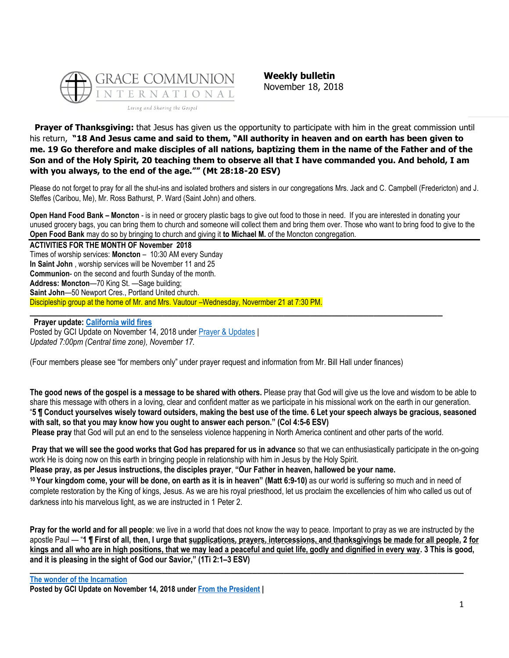

**Weekly bulletin** November 18, 2018

**Prayer of Thanksgiving:** that Jesus has given us the opportunity to participate with him in the great commission until his return, **"18 And Jesus came and said to them, "All authority in heaven and on earth has been given to me. 19 Go therefore and make disciples of all nations, baptizing them in the name of the Father and of the Son and of the Holy Spirit, 20 teaching them to observe all that I have commanded you. And behold, I am with you always, to the end of the age."" (Mt 28:18-20 ESV)**

Please do not forget to pray for all the shut-ins and isolated brothers and sisters in our congregations Mrs. Jack and C. Campbell (Fredericton) and J. Steffes (Caribou, Me), Mr. Ross Bathurst, P. Ward (Saint John) and others.

**Open Hand Food Bank – Moncton** - is in need or grocery plastic bags to give out food to those in need. If you are interested in donating your unused grocery bags, you can bring them to church and someone will collect them and bring them over. Those who want to bring food to give to the **Open Food Bank** may do so by bringing to church and giving it **to Michael M.** of the Moncton congregation.

**ACTIVITIES FOR THE MONTH OF November 2018** Times of worship services: **Moncton** – 10:30 AM every Sunday **In Saint John** , worship services will be November 11 and 25 **Communion**- on the second and fourth Sunday of the month. **Address: Moncton**—70 King St. —Sage building; **Saint John**—50 Newport Cres., Portland United church. Discipleship group at the home of Mr. and Mrs. Vautour –Wednesday, Novermber 21 at 7:30 PM. **\_\_\_\_\_\_\_\_\_\_\_\_\_\_\_\_\_\_\_\_\_\_\_\_\_\_\_\_\_\_\_\_\_\_\_\_\_\_\_\_\_\_\_\_\_\_\_\_\_\_\_\_\_\_\_\_\_\_\_\_\_\_\_\_\_\_\_\_\_\_\_\_\_\_\_\_\_\_**

**Prayer update: [California wild fires](https://update.gci.org/2018/11/california-wild-fires/)** Posted by GCI Update on November 14, 2018 under [Prayer & Updates](https://update.gci.org/category/prayer/) | *Updated 7:00pm (Central time zone), November 17.*

(Four members please see "for members only" under prayer request and information from Mr. Bill Hall under finances)

**The good news of the gospel is a message to be shared with others.** Please pray that God will give us the love and wisdom to be able to share this message with others in a loving, clear and confident matter as we participate in his missional work on the earth in our generation. "**5 ¶ Conduct yourselves wisely toward outsiders, making the best use of the time. 6 Let your speech always be gracious, seasoned with salt, so that you may know how you ought to answer each person." (Col 4:5-6 ESV)**

**Please pray** that God will put an end to the senseless violence happening in North America continent and other parts of the world.

**Pray that we will see the good works that God has prepared for us in advance** so that we can enthusiastically participate in the on-going work He is doing now on this earth in bringing people in relationship with him in Jesus by the Holy Spirit.

**Please pray, as per Jesus instructions, the disciples prayer**, **"Our Father in heaven, hallowed be your name. <sup>10</sup> Your kingdom come, your will be done, on earth as it is in heaven" (Matt 6:9-10)** as our world is suffering so much and in need of complete restoration by the King of kings, Jesus. As we are his royal priesthood, let us proclaim the excellencies of him who called us out of darkness into his marvelous light, as we are instructed in 1 Peter 2.

**Pray for the world and for all people**: we live in a world that does not know the way to peace. Important to pray as we are instructed by the apostle Paul — "**1 ¶ First of all, then, I urge that supplications, prayers, intercessions, and thanksgivings be made for all people, 2 for kings and all who are in high positions, that we may lead a peaceful and quiet life, godly and dignified in every way. 3 This is good, and it is pleasing in the sight of God our Savior," (1Ti 2:1–3 ESV)**

**\_\_\_\_\_\_\_\_\_\_\_\_\_\_\_\_\_\_\_\_\_\_\_\_\_\_\_\_\_\_\_\_\_\_\_\_\_\_\_\_\_\_\_\_\_\_\_\_\_\_\_\_\_\_\_\_\_\_\_\_\_\_\_\_\_\_\_\_\_\_\_\_\_\_\_\_\_\_\_\_\_\_**